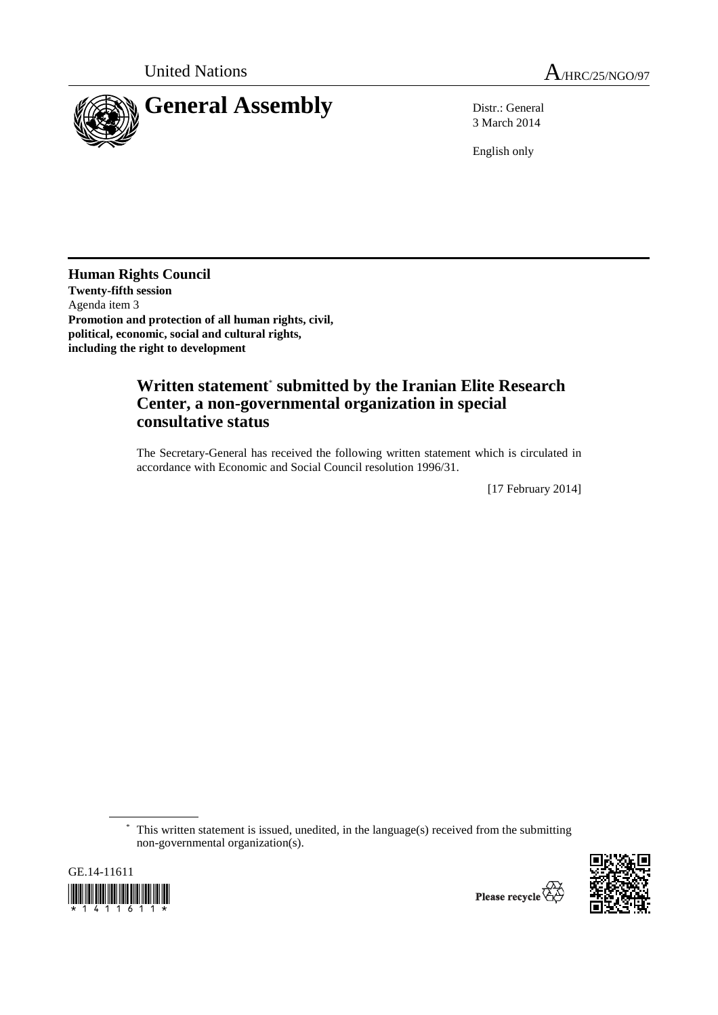

3 March 2014

English only

**Human Rights Council Twenty-fifth session**  Agenda item 3 **Promotion and protection of all human rights, civil, political, economic, social and cultural rights, including the right to development** 

## **Written statement**\*  **submitted by the Iranian Elite Research Center, a non-governmental organization in special consultative status**

The Secretary-General has received the following written statement which is circulated in accordance with Economic and Social Council resolution 1996/31.

[17 February 2014]

 \* This written statement is issued, unedited, in the language(s) received from the submitting non-governmental organization(s).



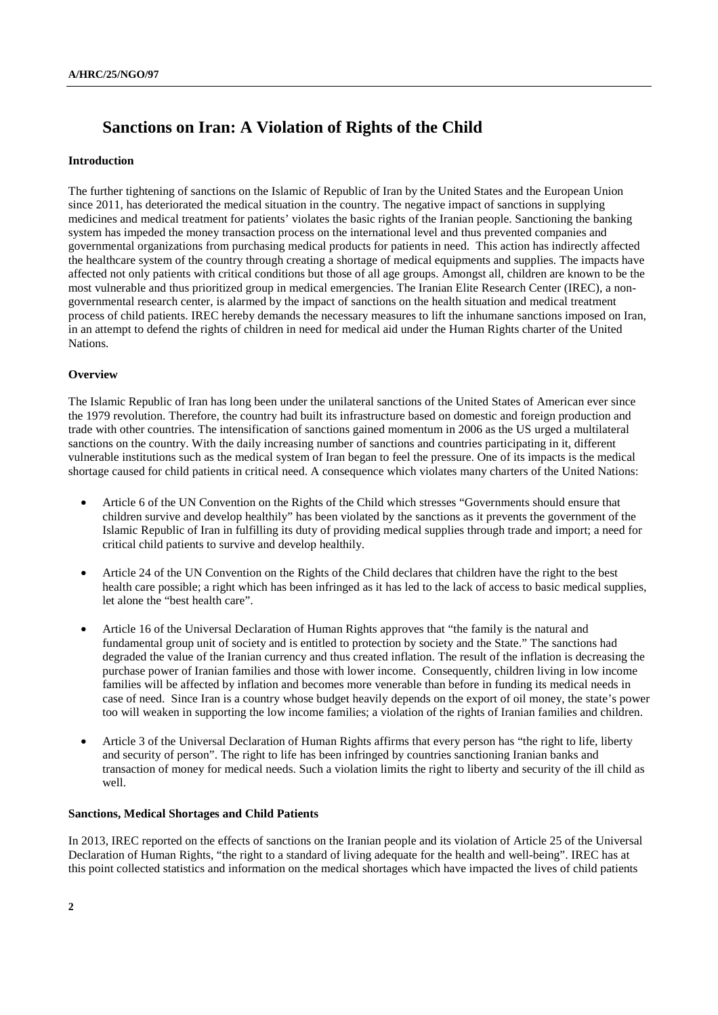# **Sanctions on Iran: A Violation of Rights of the Child**

#### **Introduction**

The further tightening of sanctions on the Islamic of Republic of Iran by the United States and the European Union since 2011, has deteriorated the medical situation in the country. The negative impact of sanctions in supplying medicines and medical treatment for patients' violates the basic rights of the Iranian people. Sanctioning the banking system has impeded the money transaction process on the international level and thus prevented companies and governmental organizations from purchasing medical products for patients in need. This action has indirectly affected the healthcare system of the country through creating a shortage of medical equipments and supplies. The impacts have affected not only patients with critical conditions but those of all age groups. Amongst all, children are known to be the most vulnerable and thus prioritized group in medical emergencies. The Iranian Elite Research Center (IREC), a nongovernmental research center, is alarmed by the impact of sanctions on the health situation and medical treatment process of child patients. IREC hereby demands the necessary measures to lift the inhumane sanctions imposed on Iran, in an attempt to defend the rights of children in need for medical aid under the Human Rights charter of the United Nations.

#### **Overview**

The Islamic Republic of Iran has long been under the unilateral sanctions of the United States of American ever since the 1979 revolution. Therefore, the country had built its infrastructure based on domestic and foreign production and trade with other countries. The intensification of sanctions gained momentum in 2006 as the US urged a multilateral sanctions on the country. With the daily increasing number of sanctions and countries participating in it, different vulnerable institutions such as the medical system of Iran began to feel the pressure. One of its impacts is the medical shortage caused for child patients in critical need. A consequence which violates many charters of the United Nations:

- Article 6 of the UN Convention on the Rights of the Child which stresses "Governments should ensure that children survive and develop healthily" has been violated by the sanctions as it prevents the government of the Islamic Republic of Iran in fulfilling its duty of providing medical supplies through trade and import; a need for critical child patients to survive and develop healthily.
- Article 24 of the UN Convention on the Rights of the Child declares that children have the right to the best health care possible; a right which has been infringed as it has led to the lack of access to basic medical supplies, let alone the "best health care".
- Article 16 of the Universal Declaration of Human Rights approves that "the family is the natural and fundamental group unit of society and is entitled to protection by society and the State." The sanctions had degraded the value of the Iranian currency and thus created inflation. The result of the inflation is decreasing the purchase power of Iranian families and those with lower income. Consequently, children living in low income families will be affected by inflation and becomes more venerable than before in funding its medical needs in case of need. Since Iran is a country whose budget heavily depends on the export of oil money, the state's power too will weaken in supporting the low income families; a violation of the rights of Iranian families and children.
- Article 3 of the Universal Declaration of Human Rights affirms that every person has "the right to life, liberty and security of person". The right to life has been infringed by countries sanctioning Iranian banks and transaction of money for medical needs. Such a violation limits the right to liberty and security of the ill child as well.

### **Sanctions, Medical Shortages and Child Patients**

In 2013, IREC reported on the effects of sanctions on the Iranian people and its violation of Article 25 of the Universal Declaration of Human Rights, "the right to a standard of living adequate for the health and well-being". IREC has at this point collected statistics and information on the medical shortages which have impacted the lives of child patients